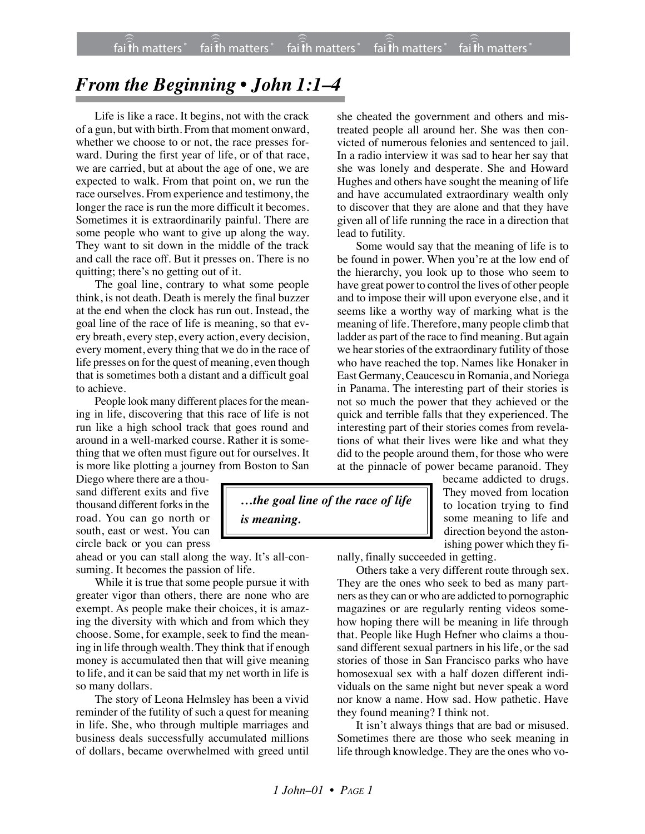## *From the Beginning • John 1:1–4*

Life is like a race. It begins, not with the crack of a gun, but with birth. From that moment onward, whether we choose to or not, the race presses forward. During the first year of life, or of that race, we are carried, but at about the age of one, we are expected to walk. From that point on, we run the race ourselves. From experience and testimony, the longer the race is run the more difficult it becomes. Sometimes it is extraordinarily painful. There are some people who want to give up along the way. They want to sit down in the middle of the track and call the race off. But it presses on. There is no quitting; there's no getting out of it.

The goal line, contrary to what some people think, is not death. Death is merely the final buzzer at the end when the clock has run out. Instead, the goal line of the race of life is meaning, so that every breath, every step, every action, every decision, every moment, every thing that we do in the race of life presses on for the quest of meaning, even though that is sometimes both a distant and a difficult goal to achieve.

People look many different places for the meaning in life, discovering that this race of life is not run like a high school track that goes round and around in a well-marked course. Rather it is something that we often must figure out for ourselves. It is more like plotting a journey from Boston to San

Diego where there are a thousand different exits and five thousand different forks in the road. You can go north or south, east or west. You can circle back or you can press

ahead or you can stall along the way. It's all-consuming. It becomes the passion of life.

While it is true that some people pursue it with greater vigor than others, there are none who are exempt. As people make their choices, it is amazing the diversity with which and from which they choose. Some, for example, seek to find the meaning in life through wealth. They think that if enough money is accumulated then that will give meaning to life, and it can be said that my net worth in life is so many dollars.

The story of Leona Helmsley has been a vivid reminder of the futility of such a quest for meaning in life. She, who through multiple marriages and business deals successfully accumulated millions of dollars, became overwhelmed with greed until

she cheated the government and others and mistreated people all around her. She was then convicted of numerous felonies and sentenced to jail. In a radio interview it was sad to hear her say that she was lonely and desperate. She and Howard Hughes and others have sought the meaning of life and have accumulated extraordinary wealth only to discover that they are alone and that they have given all of life running the race in a direction that lead to futility.

Some would say that the meaning of life is to be found in power. When you're at the low end of the hierarchy, you look up to those who seem to have great power to control the lives of other people and to impose their will upon everyone else, and it seems like a worthy way of marking what is the meaning of life. Therefore, many people climb that ladder as part of the race to find meaning. But again we hear stories of the extraordinary futility of those who have reached the top. Names like Honaker in East Germany, Ceaucescu in Romania, and Noriega in Panama. The interesting part of their stories is not so much the power that they achieved or the quick and terrible falls that they experienced. The interesting part of their stories comes from revelations of what their lives were like and what they did to the people around them, for those who were at the pinnacle of power became paranoid. They

*…the goal line of the race of life is meaning.*

became addicted to drugs. They moved from location to location trying to find some meaning to life and direction beyond the astonishing power which they fi-

nally, finally succeeded in getting.

Others take a very different route through sex. They are the ones who seek to bed as many partners as they can or who are addicted to pornographic magazines or are regularly renting videos somehow hoping there will be meaning in life through that. People like Hugh Hefner who claims a thousand different sexual partners in his life, or the sad stories of those in San Francisco parks who have homosexual sex with a half dozen different individuals on the same night but never speak a word nor know a name. How sad. How pathetic. Have they found meaning? I think not.

It isn't always things that are bad or misused. Sometimes there are those who seek meaning in life through knowledge. They are the ones who vo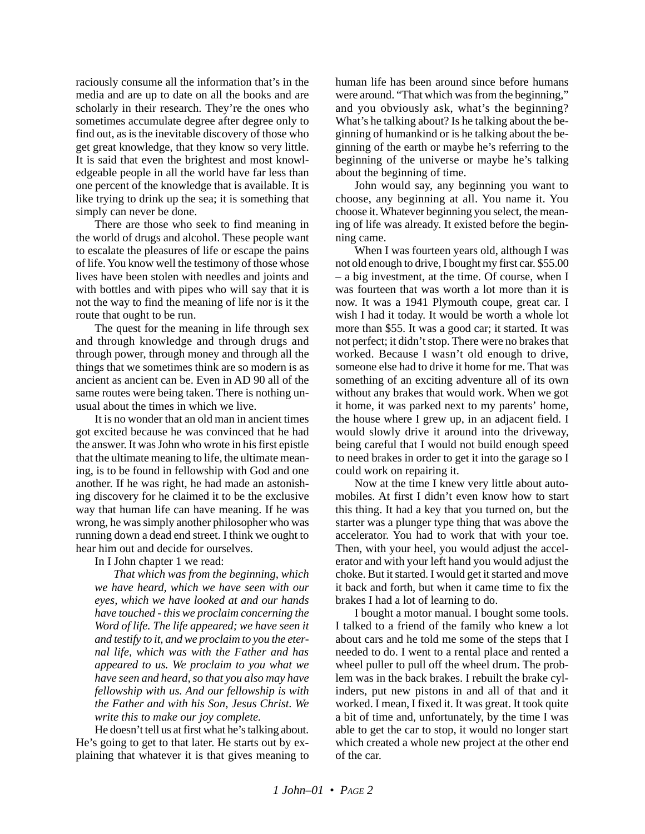raciously consume all the information that's in the media and are up to date on all the books and are scholarly in their research. They're the ones who sometimes accumulate degree after degree only to find out, as is the inevitable discovery of those who get great knowledge, that they know so very little. It is said that even the brightest and most knowledgeable people in all the world have far less than one percent of the knowledge that is available. It is like trying to drink up the sea; it is something that simply can never be done.

There are those who seek to find meaning in the world of drugs and alcohol. These people want to escalate the pleasures of life or escape the pains of life. You know well the testimony of those whose lives have been stolen with needles and joints and with bottles and with pipes who will say that it is not the way to find the meaning of life nor is it the route that ought to be run.

The quest for the meaning in life through sex and through knowledge and through drugs and through power, through money and through all the things that we sometimes think are so modern is as ancient as ancient can be. Even in AD 90 all of the same routes were being taken. There is nothing unusual about the times in which we live.

It is no wonder that an old man in ancient times got excited because he was convinced that he had the answer. It was John who wrote in his first epistle that the ultimate meaning to life, the ultimate meaning, is to be found in fellowship with God and one another. If he was right, he had made an astonishing discovery for he claimed it to be the exclusive way that human life can have meaning. If he was wrong, he was simply another philosopher who was running down a dead end street. I think we ought to hear him out and decide for ourselves.

In I John chapter 1 we read:

*That which was from the beginning, which we have heard, which we have seen with our eyes, which we have looked at and our hands have touched - this we proclaim concerning the Word of life. The life appeared; we have seen it and testify to it, and we proclaim to you the eternal life, which was with the Father and has appeared to us. We proclaim to you what we have seen and heard, so that you also may have fellowship with us. And our fellowship is with the Father and with his Son, Jesus Christ. We write this to make our joy complete.*

He doesn't tell us at first what he's talking about. He's going to get to that later. He starts out by explaining that whatever it is that gives meaning to human life has been around since before humans were around. "That which was from the beginning," and you obviously ask, what's the beginning? What's he talking about? Is he talking about the beginning of humankind or is he talking about the beginning of the earth or maybe he's referring to the beginning of the universe or maybe he's talking about the beginning of time.

John would say, any beginning you want to choose, any beginning at all. You name it. You choose it. Whatever beginning you select, the meaning of life was already. It existed before the beginning came.

When I was fourteen years old, although I was not old enough to drive, I bought my first car. \$55.00 – a big investment, at the time. Of course, when I was fourteen that was worth a lot more than it is now. It was a 1941 Plymouth coupe, great car. I wish I had it today. It would be worth a whole lot more than \$55. It was a good car; it started. It was not perfect; it didn't stop. There were no brakes that worked. Because I wasn't old enough to drive, someone else had to drive it home for me. That was something of an exciting adventure all of its own without any brakes that would work. When we got it home, it was parked next to my parents' home, the house where I grew up, in an adjacent field. I would slowly drive it around into the driveway, being careful that I would not build enough speed to need brakes in order to get it into the garage so I could work on repairing it.

Now at the time I knew very little about automobiles. At first I didn't even know how to start this thing. It had a key that you turned on, but the starter was a plunger type thing that was above the accelerator. You had to work that with your toe. Then, with your heel, you would adjust the accelerator and with your left hand you would adjust the choke. But it started. I would get it started and move it back and forth, but when it came time to fix the brakes I had a lot of learning to do.

I bought a motor manual. I bought some tools. I talked to a friend of the family who knew a lot about cars and he told me some of the steps that I needed to do. I went to a rental place and rented a wheel puller to pull off the wheel drum. The problem was in the back brakes. I rebuilt the brake cylinders, put new pistons in and all of that and it worked. I mean, I fixed it. It was great. It took quite a bit of time and, unfortunately, by the time I was able to get the car to stop, it would no longer start which created a whole new project at the other end of the car.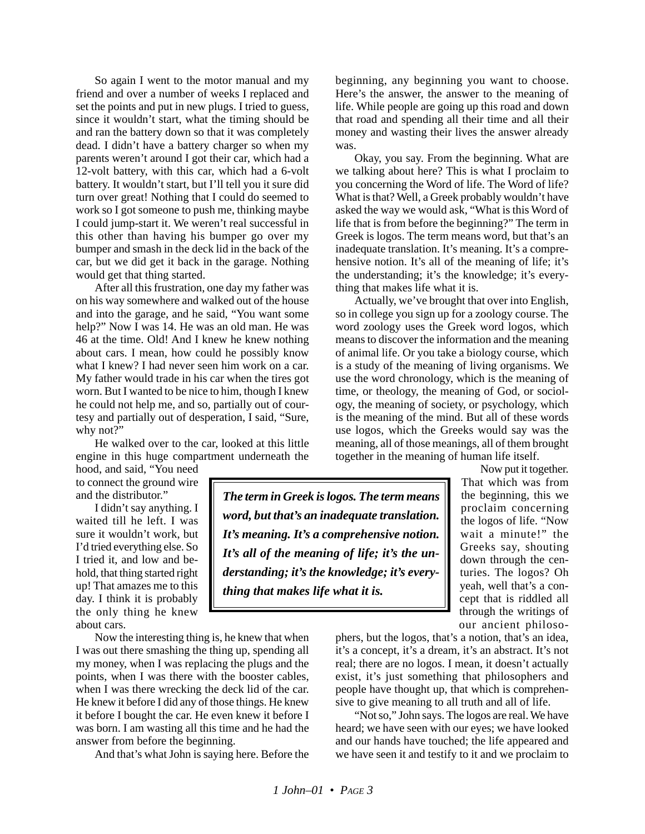So again I went to the motor manual and my friend and over a number of weeks I replaced and set the points and put in new plugs. I tried to guess, since it wouldn't start, what the timing should be and ran the battery down so that it was completely dead. I didn't have a battery charger so when my parents weren't around I got their car, which had a 12-volt battery, with this car, which had a 6-volt battery. It wouldn't start, but I'll tell you it sure did turn over great! Nothing that I could do seemed to work so I got someone to push me, thinking maybe I could jump-start it. We weren't real successful in this other than having his bumper go over my bumper and smash in the deck lid in the back of the car, but we did get it back in the garage. Nothing would get that thing started.

After all this frustration, one day my father was on his way somewhere and walked out of the house and into the garage, and he said, "You want some help?" Now I was 14. He was an old man. He was 46 at the time. Old! And I knew he knew nothing about cars. I mean, how could he possibly know what I knew? I had never seen him work on a car. My father would trade in his car when the tires got worn. But I wanted to be nice to him, though I knew he could not help me, and so, partially out of courtesy and partially out of desperation, I said, "Sure, why not?"

He walked over to the car, looked at this little engine in this huge compartment underneath the

hood, and said, "You need to connect the ground wire and the distributor."

I didn't say anything. I waited till he left. I was sure it wouldn't work, but I'd tried everything else. So I tried it, and low and behold, that thing started right up! That amazes me to this day. I think it is probably the only thing he knew about cars.

Now the interesting thing is, he knew that when I was out there smashing the thing up, spending all my money, when I was replacing the plugs and the points, when I was there with the booster cables, when I was there wrecking the deck lid of the car. He knew it before I did any of those things. He knew it before I bought the car. He even knew it before I was born. I am wasting all this time and he had the answer from before the beginning.

And that's what John is saying here. Before the

beginning, any beginning you want to choose. Here's the answer, the answer to the meaning of life. While people are going up this road and down that road and spending all their time and all their money and wasting their lives the answer already was.

Okay, you say. From the beginning. What are we talking about here? This is what I proclaim to you concerning the Word of life. The Word of life? What is that? Well, a Greek probably wouldn't have asked the way we would ask, "What is this Word of life that is from before the beginning?" The term in Greek is logos. The term means word, but that's an inadequate translation. It's meaning. It's a comprehensive notion. It's all of the meaning of life; it's the understanding; it's the knowledge; it's everything that makes life what it is.

Actually, we've brought that over into English, so in college you sign up for a zoology course. The word zoology uses the Greek word logos, which means to discover the information and the meaning of animal life. Or you take a biology course, which is a study of the meaning of living organisms. We use the word chronology, which is the meaning of time, or theology, the meaning of God, or sociology, the meaning of society, or psychology, which is the meaning of the mind. But all of these words use logos, which the Greeks would say was the meaning, all of those meanings, all of them brought together in the meaning of human life itself.

*The term in Greek is logos. The term means word, but that's an inadequate translation. It's meaning. It's a comprehensive notion. It's all of the meaning of life; it's the understanding; it's the knowledge; it's everything that makes life what it is.*

Now put it together. That which was from the beginning, this we proclaim concerning the logos of life. "Now wait a minute!" the Greeks say, shouting down through the centuries. The logos? Oh yeah, well that's a concept that is riddled all through the writings of our ancient philoso-

phers, but the logos, that's a notion, that's an idea, it's a concept, it's a dream, it's an abstract. It's not real; there are no logos. I mean, it doesn't actually exist, it's just something that philosophers and people have thought up, that which is comprehensive to give meaning to all truth and all of life.

"Not so," John says. The logos are real. We have heard; we have seen with our eyes; we have looked and our hands have touched; the life appeared and we have seen it and testify to it and we proclaim to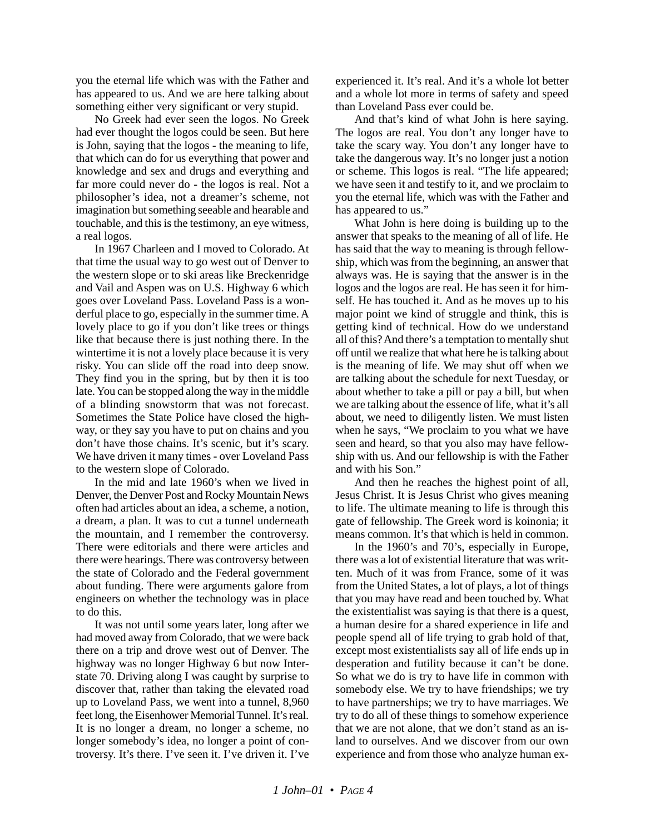you the eternal life which was with the Father and has appeared to us. And we are here talking about something either very significant or very stupid.

No Greek had ever seen the logos. No Greek had ever thought the logos could be seen. But here is John, saying that the logos - the meaning to life, that which can do for us everything that power and knowledge and sex and drugs and everything and far more could never do - the logos is real. Not a philosopher's idea, not a dreamer's scheme, not imagination but something seeable and hearable and touchable, and this is the testimony, an eye witness, a real logos.

In 1967 Charleen and I moved to Colorado. At that time the usual way to go west out of Denver to the western slope or to ski areas like Breckenridge and Vail and Aspen was on U.S. Highway 6 which goes over Loveland Pass. Loveland Pass is a wonderful place to go, especially in the summer time. A lovely place to go if you don't like trees or things like that because there is just nothing there. In the wintertime it is not a lovely place because it is very risky. You can slide off the road into deep snow. They find you in the spring, but by then it is too late. You can be stopped along the way in the middle of a blinding snowstorm that was not forecast. Sometimes the State Police have closed the highway, or they say you have to put on chains and you don't have those chains. It's scenic, but it's scary. We have driven it many times - over Loveland Pass to the western slope of Colorado.

In the mid and late 1960's when we lived in Denver, the Denver Post and Rocky Mountain News often had articles about an idea, a scheme, a notion, a dream, a plan. It was to cut a tunnel underneath the mountain, and I remember the controversy. There were editorials and there were articles and there were hearings. There was controversy between the state of Colorado and the Federal government about funding. There were arguments galore from engineers on whether the technology was in place to do this.

It was not until some years later, long after we had moved away from Colorado, that we were back there on a trip and drove west out of Denver. The highway was no longer Highway 6 but now Interstate 70. Driving along I was caught by surprise to discover that, rather than taking the elevated road up to Loveland Pass, we went into a tunnel, 8,960 feet long, the Eisenhower Memorial Tunnel. It's real. It is no longer a dream, no longer a scheme, no longer somebody's idea, no longer a point of controversy. It's there. I've seen it. I've driven it. I've experienced it. It's real. And it's a whole lot better and a whole lot more in terms of safety and speed than Loveland Pass ever could be.

And that's kind of what John is here saying. The logos are real. You don't any longer have to take the scary way. You don't any longer have to take the dangerous way. It's no longer just a notion or scheme. This logos is real. "The life appeared; we have seen it and testify to it, and we proclaim to you the eternal life, which was with the Father and has appeared to us."

What John is here doing is building up to the answer that speaks to the meaning of all of life. He has said that the way to meaning is through fellowship, which was from the beginning, an answer that always was. He is saying that the answer is in the logos and the logos are real. He has seen it for himself. He has touched it. And as he moves up to his major point we kind of struggle and think, this is getting kind of technical. How do we understand all of this? And there's a temptation to mentally shut off until we realize that what here he is talking about is the meaning of life. We may shut off when we are talking about the schedule for next Tuesday, or about whether to take a pill or pay a bill, but when we are talking about the essence of life, what it's all about, we need to diligently listen. We must listen when he says, "We proclaim to you what we have seen and heard, so that you also may have fellowship with us. And our fellowship is with the Father and with his Son."

And then he reaches the highest point of all, Jesus Christ. It is Jesus Christ who gives meaning to life. The ultimate meaning to life is through this gate of fellowship. The Greek word is koinonia; it means common. It's that which is held in common.

In the 1960's and 70's, especially in Europe, there was a lot of existential literature that was written. Much of it was from France, some of it was from the United States, a lot of plays, a lot of things that you may have read and been touched by. What the existentialist was saying is that there is a quest, a human desire for a shared experience in life and people spend all of life trying to grab hold of that, except most existentialists say all of life ends up in desperation and futility because it can't be done. So what we do is try to have life in common with somebody else. We try to have friendships; we try to have partnerships; we try to have marriages. We try to do all of these things to somehow experience that we are not alone, that we don't stand as an island to ourselves. And we discover from our own experience and from those who analyze human ex